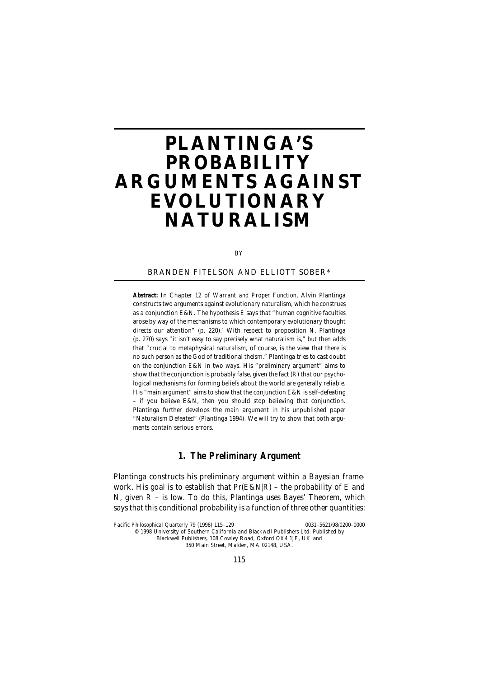# *PLANTINGA'S PROBABILITY ARGUMENTS AGAINST EVOLUTIONARY NATURALISM*

BY

# BRANDEN FITELSON AND ELLIOTT SOBER\*

**Abstract:** In Chapter 12 of *Warrant and Proper Function*, Alvin Plantinga constructs two arguments against evolutionary naturalism, which he construes as a conjunction *E*&*N*. The hypothesis *E* says that "human cognitive faculties arose by way of the mechanisms to which contemporary evolutionary thought directs our attention" (p. 220).<sup>1</sup> With respect to proposition  $N$ , Plantinga (p. 270) says "it isn't easy to say precisely what naturalism is," but then adds that "crucial to metaphysical naturalism, of course, is the view that there is no such person as the God of traditional theism." Plantinga tries to cast doubt on the conjunction *E*&*N* in two ways. His "preliminary argument" aims to show that the conjunction is probably false, given the fact (*R*) that our psychological mechanisms for forming beliefs about the world are generally reliable. His "main argument" aims to show that the conjunction *E*&*N* is self-defeating – if you believe *E*&*N*, then you should stop believing that conjunction. Plantinga further develops the main argument in his unpublished paper "Naturalism Defeated" (Plantinga 1994). We will try to show that both arguments contain serious errors.

# *1. The Preliminary Argument*

Plantinga constructs his preliminary argument within a Bayesian framework. His goal is to establish that Pr(*E*&*N*|*R*) – the probability of *E* and *N*, given *R* – is low. To do this, Plantinga uses Bayes' Theorem, which says that this conditional probability is a function of three other quantities:

| Pacific Philosophical Quarterly 79 (1998) 115-129                                   | 0031-5621/98/0200-0000 |
|-------------------------------------------------------------------------------------|------------------------|
| © 1998 University of Southern California and Blackwell Publishers Ltd. Published by |                        |
| Blackwell Publishers, 108 Cowley Road, Oxford OX4 1JF, UK and                       |                        |

350 Main Street, Malden, MA 02148, USA.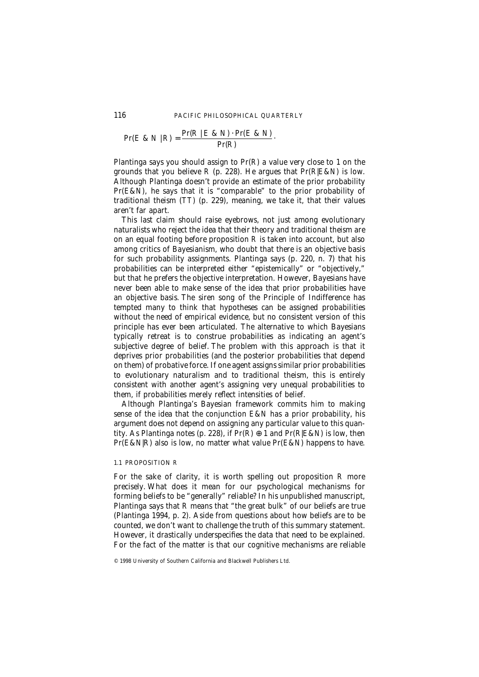$$
Pr(E \& N | R) = \frac{Pr(R | E \& N) \cdot Pr(E \& N)}{Pr(R)}.
$$

Plantinga says you should assign to  $Pr(R)$  a value very close to 1 on the grounds that you believe *R* (p. 228). He argues that  $Pr(R|E\&N)$  is low. Although Plantinga doesn't provide an estimate of the prior probability Pr(*E*&*N*), he says that it is "comparable" to the prior probability of traditional theism (*TT*) (p. 229), meaning, we take it, that their values aren't far apart.

This last claim should raise eyebrows, not just among evolutionary naturalists who reject the idea that their theory and traditional theism are on an equal footing before proposition  $R$  is taken into account, but also among critics of Bayesianism, who doubt that there is an objective basis for such probability assignments. Plantinga says (p. 220, n. 7) that his probabilities can be interpreted either "epistemically" or "objectively," but that he prefers the objective interpretation. However, Bayesians have never been able to make sense of the idea that prior probabilities have an objective basis. The siren song of the Principle of Indifference has tempted many to think that hypotheses can be assigned probabilities without the need of empirical evidence, but no consistent version of this principle has ever been articulated. The alternative to which Bayesians typically retreat is to construe probabilities as indicating an agent's subjective degree of belief. The problem with this approach is that it deprives prior probabilities (and the posterior probabilities that depend on them) of probative force. If one agent assigns similar prior probabilities to evolutionary naturalism and to traditional theism, this is entirely consistent with another agent's assigning very unequal probabilities to them, if probabilities merely reflect intensities of belief.

Although Plantinga's Bayesian framework commits him to making sense of the idea that the conjunction *E*&*N* has a prior probability, his argument does not depend on assigning any particular value to this quantity. As Plantinga notes (p. 228), if  $Pr(R) \oplus 1$  and  $Pr(R|E\&N)$  is low, then Pr(*E*&*N*|*R*) also is low, no matter what value Pr(*E*&*N*) happens to have.

## 1.1 PROPOSITION *R*

For the sake of clarity, it is worth spelling out proposition *R* more precisely. What does it mean for our psychological mechanisms for forming beliefs to be "generally" reliable? In his unpublished manuscript, Plantinga says that *R* means that "the great bulk" of our beliefs are true (Plantinga 1994, p. 2). Aside from questions about how beliefs are to be counted, we don't want to challenge the truth of this summary statement. However, it drastically underspecifies the data that need to be explained. For the fact of the matter is that our cognitive mechanisms are reliable

<sup>© 1998</sup> University of Southern California and Blackwell Publishers Ltd.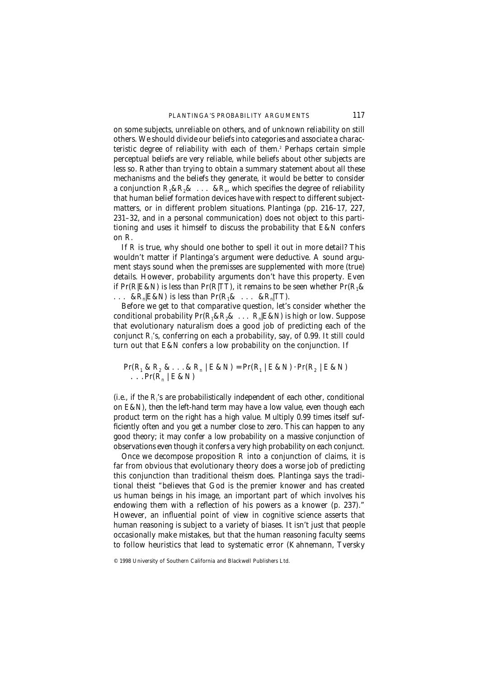on some subjects, unreliable on others, and of unknown reliability on still others. We should divide our beliefs into categories and associate a characteristic degree of reliability with each of them.<sup>2</sup> Perhaps certain simple perceptual beliefs are very reliable, while beliefs about other subjects are less so. Rather than trying to obtain a summary statement about all these mechanisms and the beliefs they generate, it would be better to consider a conjunction  $R_1 \& R_2 \& \ldots \& R_n$ , which specifies the degree of reliability that human belief formation devices have with respect to different subjectmatters, or in different problem situations. Plantinga (pp. 216–17, 227, 231–32, and in a personal communication) does not object to this partitioning and uses it himself to discuss the probability that *E*&*N* confers on *R*.

If *R* is true, why should one bother to spell it out in more detail? This wouldn't matter if Plantinga's argument were deductive. A sound argument stays sound when the premisses are supplemented with more (true) details. However, probability arguments don't have this property. Even if  $Pr(R|E\&N)$  is less than  $Pr(R|TT)$ , it remains to be seen whether  $Pr(R_1\&S)$ ...  $\&R_n|E\&N$  is less than  $Pr(R_1\&\ldots&R_n|TT)$ .

Before we get to that comparative question, let's consider whether the conditional probability  $Pr(R_1 \& R_2 \& \ldots & R_n | E \& N)$  is high or low. Suppose that evolutionary naturalism does a good job of predicting each of the conjunct *Ri* 's, conferring on each a probability, say, of 0.99. It still could turn out that *E*&*N* confers a low probability on the conjunction. If

$$
Pr(R_1 \& R_2 \& \ldots \& R_n \mid E\&N) = Pr(R_1 \mid E\&N) \cdot Pr(R_2 \mid E\&N)
$$
  
...
$$
Pr(R_n \mid E\&N)
$$

 $(i.e., if the  $R_i$ 's are probability independently independent of each other, conditional$ on *E*&*N*), then the left-hand term may have a low value, even though each product term on the right has a high value. Multiply 0.99 times itself sufficiently often and you get a number close to zero. This can happen to any good theory; it may confer a low probability on a massive conjunction of observations even though it confers a very high probability on each conjunct.

Once we decompose proposition  $R$  into a conjunction of claims, it is far from obvious that evolutionary theory does a worse job of predicting this conjunction than traditional theism does. Plantinga says the traditional theist "believes that God is the premier knower and has created us human beings in his image, an important part of which involves his endowing them with a reflection of his powers as a knower (p. 237)." However, an influential point of view in cognitive science asserts that human reasoning is subject to a variety of biases. It isn't just that people occasionally make mistakes, but that the human reasoning faculty seems to follow heuristics that lead to systematic error (Kahnemann, Tversky

<sup>© 1998</sup> University of Southern California and Blackwell Publishers Ltd.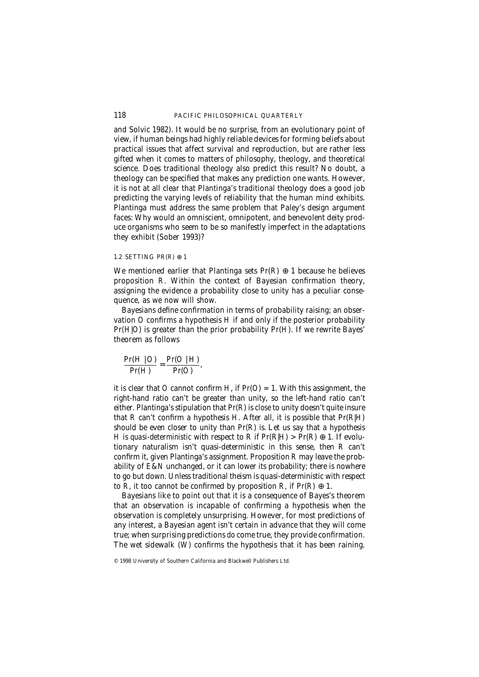and Solvic 1982). It would be no surprise, from an evolutionary point of view, if human beings had highly reliable devices for forming beliefs about practical issues that affect survival and reproduction, but are rather less gifted when it comes to matters of philosophy, theology, and theoretical science. Does traditional theology also predict this result? No doubt, a theology can be specified that makes any prediction one wants. However, it is not at all clear that Plantinga's traditional theology does a good job predicting the varying levels of reliability that the human mind exhibits. Plantinga must address the same problem that Paley's design argument faces: Why would an omniscient, omnipotent, and benevolent deity produce organisms who seem to be so manifestly imperfect in the adaptations they exhibit (Sober 1993)?

## 1.2 SETTING  $PR(R) \oplus 1$

We mentioned earlier that Plantinga sets  $Pr(R) \oplus 1$  because he believes proposition *R*. Within the context of Bayesian confirmation theory, assigning the evidence a probability close to unity has a peculiar consequence, as we now will show.

Bayesians define confirmation in terms of probability raising; an observation  $O$  confirms a hypothesis  $H$  if and only if the posterior probability  $Pr(H|O)$  is greater than the prior probability  $Pr(H)$ . If we rewrite Bayes' theorem as follows

$$
\frac{\Pr(H \mid O)}{\Pr(H)} = \frac{\Pr(O \mid H)}{\Pr(O)},
$$

it is clear that *O* cannot confirm *H*, if  $Pr(O) = 1$ . With this assignment, the right-hand ratio can't be greater than unity, so the left-hand ratio can't either. Plantinga's stipulation that Pr(*R*) is *close* to unity doesn't quite insure that *R* can't confirm a hypothesis *H*. After all, it is possible that  $Pr(R|H)$ should be even closer to unity than  $Pr(R)$  is. Let us say that a hypothesis *H* is *quasi-deterministic* with respect to *R* if  $Pr(R|H) > Pr(R) \oplus 1$ . If evolutionary naturalism isn't quasi-deterministic in this sense, then *R* can't confirm it, given Plantinga's assignment. Proposition *R* may leave the probability of *E*&*N* unchanged, or it can lower its probability; there is nowhere to go but down. Unless traditional theism is quasi-deterministic with respect to *R*, it too cannot be confirmed by proposition *R*, if  $Pr(R) \oplus 1$ .

Bayesians like to point out that it is a consequence of Bayes's theorem that an observation is incapable of confirming a hypothesis when the observation is completely unsurprising. However, for most predictions of any interest, a Bayesian agent isn't certain in advance that they will come true; when surprising predictions *do* come true, they provide confirmation. The wet sidewalk (*W*) confirms the hypothesis that it has been raining.

<sup>© 1998</sup> University of Southern California and Blackwell Publishers Ltd.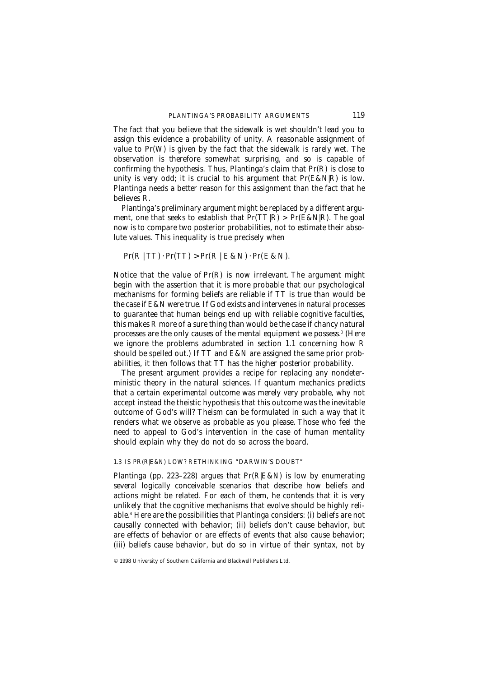The fact that you believe that the sidewalk is wet shouldn't lead you to assign this evidence a probability of unity. A reasonable assignment of value to Pr(*W*) is given by the fact that the sidewalk is rarely wet. The observation is therefore somewhat surprising, and so is capable of confirming the hypothesis. Thus, Plantinga's claim that Pr(*R*) is close to unity is very odd; it is crucial to his argument that Pr(*E*&*N*|*R*) is low. Plantinga needs a better reason for this assignment than the fact that he believes *R*.

Plantinga's preliminary argument might be replaced by a different argument, one that seeks to establish that  $Pr(TT|R) > Pr(E\&N|R)$ . The goal now is to compare two posterior probabilities, not to estimate their absolute values. This inequality is true precisely when

 $Pr(R | TT) \cdot Pr(TT) > Pr(R | E & N) \cdot Pr(E & N).$ 

Notice that the value of  $Pr(R)$  is now irrelevant. The argument might begin with the assertion that it is more probable that our psychological mechanisms for forming beliefs are reliable if *TT* is true than would be the case if *E*&*N* were true. If God exists and intervenes in natural processes to guarantee that human beings end up with reliable cognitive faculties, this makes *R* more of a sure thing than would be the case if chancy natural processes are the only causes of the mental equipment we possess.<sup>3</sup> (Here we ignore the problems adumbrated in section 1.1 concerning how *R* should be spelled out.) If *TT* and *E*&*N* are assigned the same prior probabilities, it then follows that *TT* has the higher posterior probability.

The present argument provides a recipe for replacing any nondeterministic theory in the natural sciences. If quantum mechanics predicts that a certain experimental outcome was merely very probable, why not accept instead the theistic hypothesis that this outcome was the inevitable outcome of God's will? Theism can be formulated in such a way that it renders what we observe as probable as you please. Those who feel the need to appeal to God's intervention in the case of human mentality should explain why they do not do so across the board.

### 1.3 IS PR(*R*|*E&N*) LOW? RETHINKING "DARWIN'S DOUBT"

Plantinga (pp. 223–228) argues that Pr(*R*|*E*&*N*) is low by enumerating several logically conceivable scenarios that describe how beliefs and actions might be related. For each of them, he contends that it is very unlikely that the cognitive mechanisms that evolve should be highly reliable.4 Here are the possibilities that Plantinga considers: (i) beliefs are not causally connected with behavior; (ii) beliefs don't cause behavior, but are effects of behavior or are effects of events that also cause behavior; (iii) beliefs cause behavior, but do so in virtue of their syntax, not by

<sup>© 1998</sup> University of Southern California and Blackwell Publishers Ltd.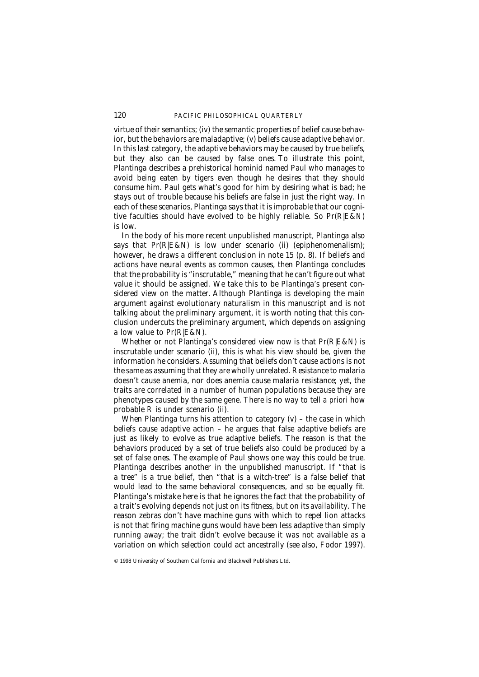virtue of their semantics; (iv) the semantic properties of belief cause behavior, but the behaviors are maladaptive; (v) beliefs cause adaptive behavior. In this last category, the adaptive behaviors may be caused by true beliefs, but they also can be caused by false ones. To illustrate this point, Plantinga describes a prehistorical hominid named Paul who manages to avoid being eaten by tigers even though he desires that they should consume him. Paul gets what's good for him by desiring what is bad; he stays out of trouble because his beliefs are false in just the right way. In each of these scenarios, Plantinga says that it is improbable that our cognitive faculties should have evolved to be highly reliable. So Pr(*R*|*E*&*N*) is low.

In the body of his more recent unpublished manuscript, Plantinga also says that  $Pr(R|E\&N)$  is low under scenario (ii) (epiphenomenalism); however, he draws a different conclusion in note 15 (p. 8). If beliefs and actions have neural events as common causes, then Plantinga concludes that the probability is "inscrutable," meaning that he can't figure out what value it should be assigned. We take this to be Plantinga's present considered view on the matter. Although Plantinga is developing the main argument against evolutionary naturalism in this manuscript and is not talking about the preliminary argument, it is worth noting that this conclusion undercuts the preliminary argument, which depends on assigning a low value to Pr(*R*|*E*&*N*).

Whether or not Plantinga's considered view now *is* that Pr(*R*|*E*&*N*) is inscrutable under scenario (ii), this is what his view *should* be, given the information he considers. Assuming that beliefs don't cause actions is not the same as assuming that they are wholly unrelated. Resistance to malaria doesn't cause anemia, nor does anemia cause malaria resistance; yet, the traits are correlated in a number of human populations because they are phenotypes caused by the same gene. There is no way to tell *a priori* how probable *R* is under scenario (ii).

When Plantinga turns his attention to category  $(v)$  – the case in which beliefs cause adaptive action – he argues that false adaptive beliefs are just as likely to evolve as true adaptive beliefs. The reason is that the behaviors produced by a set of true beliefs also could be produced by a set of false ones. The example of Paul shows one way this could be true. Plantinga describes another in the unpublished manuscript. If "that is a tree" is a true belief, then "that is a witch-tree" is a false belief that would lead to the same behavioral consequences, and so be equally fit. Plantinga's mistake here is that he ignores the fact that the probability of a trait's evolving depends not just on its fitness, but on its *availability*. The reason zebras don't have machine guns with which to repel lion attacks is not that firing machine guns would have been less adaptive than simply running away; the trait didn't evolve because it was not available as a variation on which selection could act ancestrally (see also, Fodor 1997).

<sup>© 1998</sup> University of Southern California and Blackwell Publishers Ltd.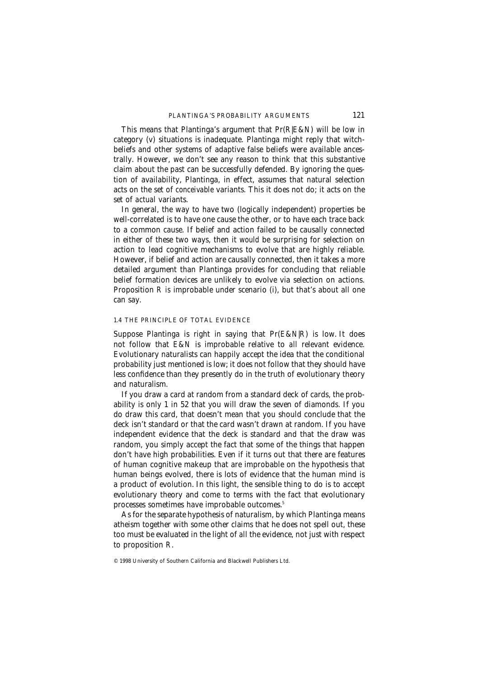This means that Plantinga's argument that Pr(*R*|*E*&*N*) will be low in category (v) situations is inadequate. Plantinga might reply that witchbeliefs and other systems of adaptive false beliefs were available ancestrally. However, we don't see any reason to think that this substantive claim about the past can be successfully defended. By ignoring the question of availability, Plantinga, in effect, assumes that natural selection acts on the set of *conceivable* variants. This it does not do; it acts on the set of *actual* variants.

In general, the way to have two (logically independent) properties be well-correlated is to have one cause the other, or to have each trace back to a common cause. If belief and action failed to be causally connected in either of these two ways, then it *would* be surprising for selection on action to lead cognitive mechanisms to evolve that are highly reliable. However, if belief and action are causally connected, then it takes a more detailed argument than Plantinga provides for concluding that reliable belief formation devices are unlikely to evolve via selection on actions. Proposition *R is* improbable under scenario (i), but that's about all one can say.

## 1.4 THE PRINCIPLE OF TOTAL EVIDENCE

Suppose Plantinga is right in saying that Pr(*E*&*N*|*R*) is low. It does not follow that *E*&*N* is improbable relative to *all* relevant evidence. Evolutionary naturalists can happily accept the idea that the conditional probability just mentioned is low; it does not follow that they should have less confidence than they presently do in the truth of evolutionary theory and naturalism.

If you draw a card at random from a standard deck of cards, the probability is only 1 in 52 that you will draw the seven of diamonds. If you do draw this card, that doesn't mean that you should conclude that the deck isn't standard or that the card wasn't drawn at random. If you have independent evidence that the deck is standard and that the draw was random, you simply accept the fact that some of the things that happen don't have high probabilities. Even if it turns out that there are features of human cognitive makeup that are improbable on the hypothesis that human beings evolved, there is lots of evidence that the human mind is a product of evolution. In this light, the sensible thing to do is to accept evolutionary theory and come to terms with the fact that evolutionary processes sometimes have improbable outcomes.<sup>5</sup>

As for the separate hypothesis of naturalism, by which Plantinga means atheism together with some other claims that he does not spell out, these too must be evaluated in the light of *all* the evidence, not just with respect to proposition *R*.

<sup>© 1998</sup> University of Southern California and Blackwell Publishers Ltd.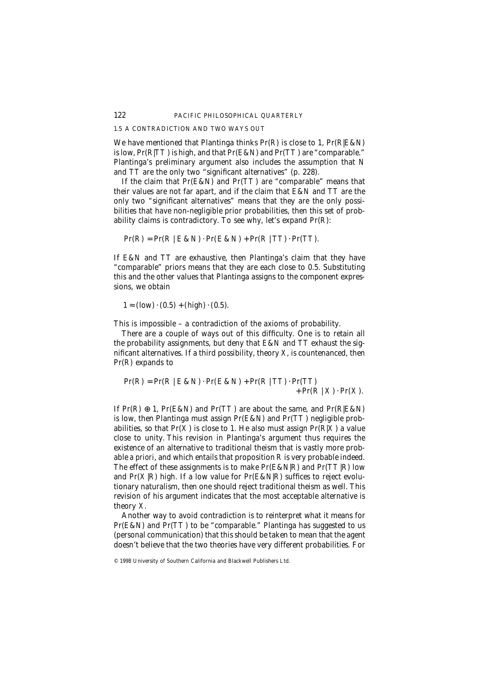## 1.5 A CONTRADICTION AND TWO WAYS OUT

We have mentioned that Plantinga thinks Pr(*R*) is close to 1, Pr(*R*|*E*&*N*) is low, Pr(*R*|*TT* ) is high, and that Pr(*E*&*N*) and Pr(*TT* ) are "comparable." Plantinga's preliminary argument also includes the assumption that *N* and *TT* are the only two "significant alternatives" (p. 228).

If the claim that Pr(*E*&*N*) and Pr(*TT* ) are "comparable" means that their values are not far apart, and if the claim that *E*&*N* and *TT* are the only two "significant alternatives" means that they are the only possibilities that have non-negligible prior probabilities, then this set of probability claims is contradictory. To see why, let's expand Pr(*R*):

 $Pr(R) = Pr(R | E \& N) \cdot Pr(E \& N) + Pr(R | TT) \cdot Pr(TT).$ 

If *E*&*N* and *TT* are exhaustive, then Plantinga's claim that they have "comparable" priors means that they are each close to 0.5. Substituting this and the other values that Plantinga assigns to the component expressions, we obtain

 $1 \approx (low) \cdot (0.5) + (high) \cdot (0.5).$ 

This is impossible – a contradiction of the axioms of probability.

There are a couple of ways out of this difficulty. One is to retain all the probability assignments, but deny that *E*&*N* and *TT* exhaust the significant alternatives. If a third possibility, theory  $X$ , is countenanced, then Pr(*R*) expands to

$$
Pr(R) = Pr(R | E \& N) \cdot Pr(E \& N) + Pr(R | TT) \cdot Pr(TT) + Pr(R | X) \cdot Pr(X).
$$

If  $Pr(R) \oplus 1$ ,  $Pr(E\&N)$  and  $Pr(TT)$  are about the same, and  $Pr(R|E\&N)$ is low, then Plantinga must assign Pr(*E*&*N*) and Pr(*TT* ) negligible probabilities, so that  $Pr(X)$  is close to 1. He also must assign  $Pr(R|X)$  a value close to unity. This revision in Plantinga's argument thus requires the existence of an alternative to traditional theism that is vastly more probable *a priori*, and which entails that proposition *R* is very probable indeed. The effect of these assignments is to make  $Pr(E\&N|R)$  and  $Pr(TT|R)$  low and  $Pr(X|R)$  high. If a low value for  $Pr(E\&NR)$  suffices to reject evolutionary naturalism, then one should reject traditional theism as well. This revision of his argument indicates that the most acceptable alternative is theory *X*.

Another way to avoid contradiction is to reinterpret what it means for Pr(*E*&*N*) and Pr(*TT* ) to be "comparable." Plantinga has suggested to us (personal communication) that this should be taken to mean that the agent doesn't believe that the two theories have very different probabilities. For

<sup>© 1998</sup> University of Southern California and Blackwell Publishers Ltd.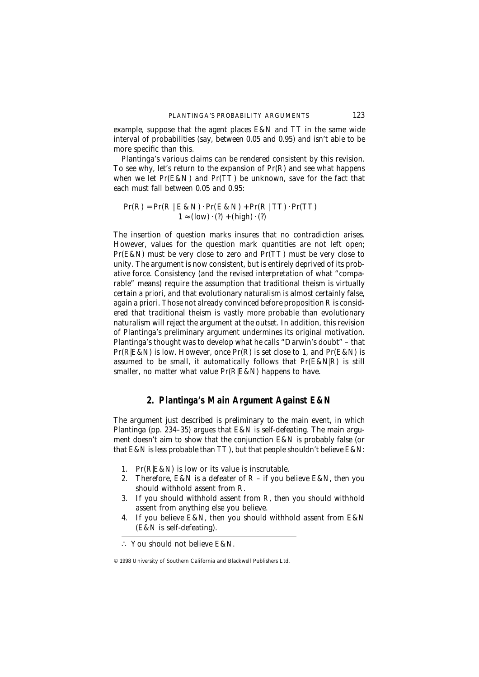example, suppose that the agent places *E*&*N* and *TT* in the same wide interval of probabilities (say, between 0.05 and 0.95) and isn't able to be more specific than this.

Plantinga's various claims can be rendered consistent by this revision. To see why, let's return to the expansion of  $Pr(R)$  and see what happens when we let Pr(*E*&*N*) and Pr(*TT*) be unknown, save for the fact that each must fall between 0.05 and 0.95:

$$
Pr(R) = Pr(R | E& N) \cdot Pr(E& N) + Pr(R | TT) \cdot Pr(TT)
$$
  
1 \approx (low) \cdot (?) + (high) \cdot (?)

The insertion of question marks insures that no contradiction arises. However, values for the question mark quantities are not left open; Pr(*E*&*N*) must be very close to zero and Pr(*TT*) must be very close to unity. The argument is now consistent, but is entirely deprived of its probative force. Consistency (and the revised interpretation of what "comparable" means) require the assumption that traditional theism is virtually certain *a priori*, and that evolutionary naturalism is almost certainly false, again *a priori*. Those not already convinced before proposition *R* is considered that traditional theism is vastly more probable than evolutionary naturalism will reject the argument at the outset. In addition, this revision of Plantinga's preliminary argument undermines its original motivation. Plantinga's thought was to develop what he calls "Darwin's doubt" – that Pr(*R*|*E*&*N*) is low. However, once Pr(*R*) is set close to 1, and Pr(*E*&*N*) is assumed to be small, it *automatically* follows that Pr(*E*&*N*|*R*) is still smaller, no matter what value Pr(*R*|*E*&*N*) happens to have.

# *2. Plantinga's Main Argument Against* **E&N**

The argument just described is preliminary to the main event, in which Plantinga (pp. 234–35) argues that *E*&*N* is self-defeating. The main argument doesn't aim to show that the conjunction *E*&*N* is probably false (or that *E*&*N* is less probable than *TT*), but that people shouldn't believe *E*&*N*:

- 1. Pr(*R*|*E*&*N*) is low or its value is inscrutable.
- 2. Therefore, *E*&*N* is a defeater of *R* if you believe *E*&*N*, then you should withhold assent from *R*.
- 3. If you should withhold assent from *R*, then you should withhold assent from anything else you believe.
- 4. If you believe *E*&*N*, then you should withhold assent from *E*&*N* (*E*&*N* is self-defeating).

<sup>∴</sup> You should not believe *E*&*N*.

<sup>© 1998</sup> University of Southern California and Blackwell Publishers Ltd.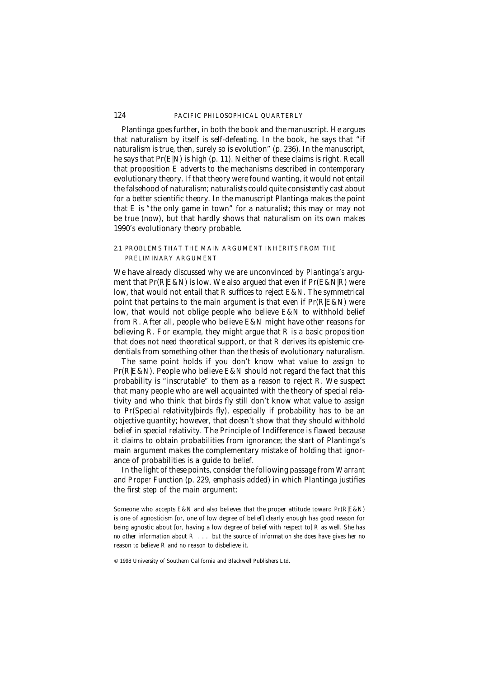Plantinga goes further, in both the book and the manuscript. He argues that naturalism by itself is self-defeating. In the book, he says that "if naturalism is true, then, surely so is evolution" (p. 236). In the manuscript, he says that Pr(*E*|*N*) is high (p. 11). Neither of these claims is right. Recall that proposition *E* adverts to the mechanisms described in *contemporary* evolutionary theory. If that theory were found wanting, it would not entail the falsehood of naturalism; naturalists could quite consistently cast about for a better scientific theory. In the manuscript Plantinga makes the point that  $E$  is "the only game in town" for a naturalist; this may or may not be true (now), but that hardly shows that naturalism on its own makes 1990's evolutionary theory probable.

## 2.1 PROBLEMS THAT THE MAIN ARGUMENT INHERITS FROM THE PRELIMINARY ARGUMENT

We have already discussed why we are unconvinced by Plantinga's argument that Pr(*R*|*E*&*N*) is low. We also argued that even if Pr(*E*&*N*|*R*) were low, that would not entail that *R* suffices to reject *E*&*N*. The symmetrical point that pertains to the main argument is that even if Pr(*R*|*E*&*N*) were low, that would not oblige people who believe *E*&*N* to withhold belief from *R*. After all, people who believe *E*&*N* might have other reasons for believing *R*. For example, they might argue that *R* is a basic proposition that does not need theoretical support, or that *R* derives its epistemic credentials from something other than the thesis of evolutionary naturalism.

The same point holds if you don't know what value to assign to Pr(*R*|*E*&*N*). People who believe *E*&*N* should not regard the fact that this probability is "inscrutable" to them as a reason to reject *R*. We suspect that many people who are well acquainted with the theory of special relativity and who think that birds fly still don't know what value to assign to Pr(Special relativity|birds fly), especially if probability has to be an objective quantity; however, that doesn't show that they should withhold belief in special relativity. The Principle of Indifference is flawed because it claims to obtain probabilities from ignorance; the start of Plantinga's main argument makes the complementary mistake of holding that ignorance of probabilities is a guide to belief.

In the light of these points, consider the following passage from *Warrant and Proper Function* (p. 229, emphasis added) in which Plantinga justifies the first step of the main argument:

Someone who accepts *E*&*N* and also believes that the proper attitude toward Pr(*R*|*E*&*N*) is one of agnosticism [or, one of low degree of belief] clearly enough has good reason for being agnostic about [or, having a low degree of belief with respect to] *R* as well. *She has no other information about R . . . but the source of information she does have gives her no reason to believe R and no reason to disbelieve it.*

© 1998 University of Southern California and Blackwell Publishers Ltd.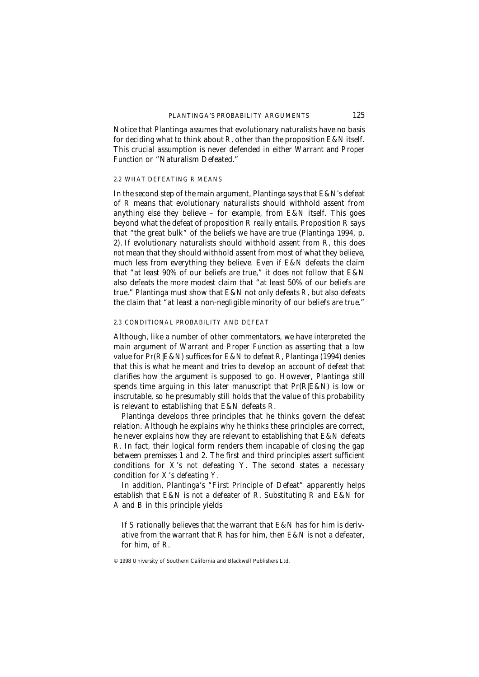Notice that Plantinga assumes that evolutionary naturalists have no basis for deciding what to think about *R*, other than the proposition *E*&*N* itself. This crucial assumption is never defended in either *Warrant and Proper Function* or "Naturalism Defeated."

## 2.2 WHAT DEFEATING *R* MEANS

In the second step of the main argument, Plantinga says that *E*&*N*'s defeat of *R* means that evolutionary naturalists should withhold assent from anything else they believe – for example, from *E*&*N* itself. This goes beyond what the defeat of proposition *R* really entails. Proposition *R* says that "the great bulk" of the beliefs we have are true (Plantinga 1994, p. 2). If evolutionary naturalists should withhold assent from *R*, this does *not* mean that they should withhold assent from most of what they believe, much less from everything they believe. Even if *E*&*N* defeats the claim that "at least 90% of our beliefs are true," it does not follow that *E*&*N* also defeats the more modest claim that "at least 50% of our beliefs are true." Plantinga must show that *E*&*N* not only defeats *R*, but also defeats the claim that "at least a non-negligible minority of our beliefs are true."

# 2.3 CONDITIONAL PROBABILITY AND DEFEAT

Although, like a number of other commentators, we have interpreted the main argument of *Warrant and Proper Function* as asserting that a low value for Pr(*R*|*E*&*N*) suffices for *E*&*N* to defeat *R*, Plantinga (1994) denies that this is what he meant and tries to develop an account of defeat that clarifies how the argument is supposed to go. However, Plantinga still spends time arguing in this later manuscript that Pr(*R*|*E*&*N*) is low or inscrutable, so he presumably still holds that the value of this probability is relevant to establishing that *E*&*N* defeats *R*.

Plantinga develops three principles that he thinks govern the defeat relation. Although he explains why he thinks these principles are correct, he never explains how they are relevant to establishing that *E*&*N* defeats *R*. In fact, their logical form renders them incapable of closing the gap between premisses 1 and 2. The first and third principles assert *sufficient* conditions for *X* 's *not* defeating Y. The second states a *necessary* condition for *X* 's defeating *Y*.

In addition, Plantinga's "First Principle of Defeat" apparently helps establish that *E*&*N* is *not* a defeater of *R*. Substituting *R* and *E*&*N* for *A* and *B* in this principle yields

If *S* rationally believes that the warrant that *E*&*N* has for him is derivative from the warrant that *R* has for him, then *E*&*N* is not a defeater, for him, of *R*.

<sup>© 1998</sup> University of Southern California and Blackwell Publishers Ltd.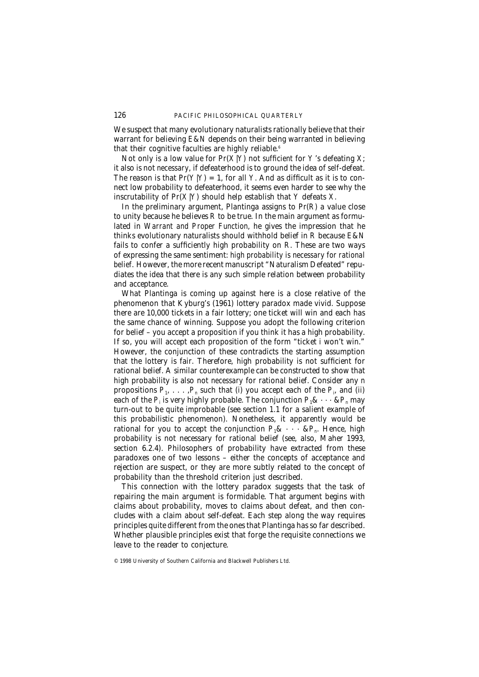We suspect that many evolutionary naturalists rationally believe that their warrant for believing *E*&*N* depends on their being warranted in believing that their cognitive faculties are highly reliable. $6$ 

Not only is a low value for  $Pr(X|Y)$  not *sufficient* for *Y*'s defeating *X*; it also is not *necessary*, if defeaterhood is to ground the idea of *self*-defeat. The reason is that  $Pr(Y|Y) = 1$ , for all *Y*. And as difficult as it is to connect low probability to defeaterhood, it seems even harder to see why the inscrutability of  $Pr(X|Y)$  should help establish that *Y* defeats *X*.

In the preliminary argument, Plantinga assigns to Pr(*R*) a value close to unity because he believes *R* to be true. In the main argument as formulated in *Warrant and Proper Function*, he gives the impression that he thinks evolutionary naturalists should withhold belief in *R* because *E*&*N* fails to confer a sufficiently high probability on *R*. These are two ways of expressing the same sentiment: *high probability is necessary for rational belief*. However, the more recent manuscript "Naturalism Defeated" repudiates the idea that there is any such simple relation between probability and acceptance.

What Plantinga is coming up against here is a close relative of the phenomenon that Kyburg's (1961) lottery paradox made vivid. Suppose there are 10,000 tickets in a fair lottery; one ticket will win and each has the same chance of winning. Suppose you adopt the following criterion for belief – you accept a proposition if you think it has a high probability. If so, you will accept each proposition of the form "ticket *i* won't win." However, the conjunction of these contradicts the starting assumption that the lottery is fair. Therefore, high probability is not sufficient for rational belief. A similar counterexample can be constructed to show that high probability is also not *necessary* for rational belief. Consider any *n* propositions  $P_1, \ldots, P_n$  such that (*i*) you accept each of the  $P_i$ , and (*ii*) each of the  $P_i$  is very highly probable. The conjunction  $P_1 \& \cdots \& P_n$  may turn-out to be quite *im*probable (see section 1.1 for a salient example of this probabilistic phenomenon). Nonetheless, it apparently would be rational for you to accept the conjunction  $P_1 \& \cdots \& P_n$ . Hence, high probability is not necessary for rational belief (see, also, Maher 1993, section 6.2.4). Philosophers of probability have extracted from these paradoxes one of two lessons – either the concepts of acceptance and rejection are suspect, or they are more subtly related to the concept of probability than the threshold criterion just described.

This connection with the lottery paradox suggests that the task of repairing the main argument is formidable. That argument begins with claims about probability, moves to claims about defeat, and then concludes with a claim about self-defeat. Each step along the way requires principles quite different from the ones that Plantinga has so far described. Whether plausible principles exist that forge the requisite connections we leave to the reader to conjecture.

<sup>© 1998</sup> University of Southern California and Blackwell Publishers Ltd.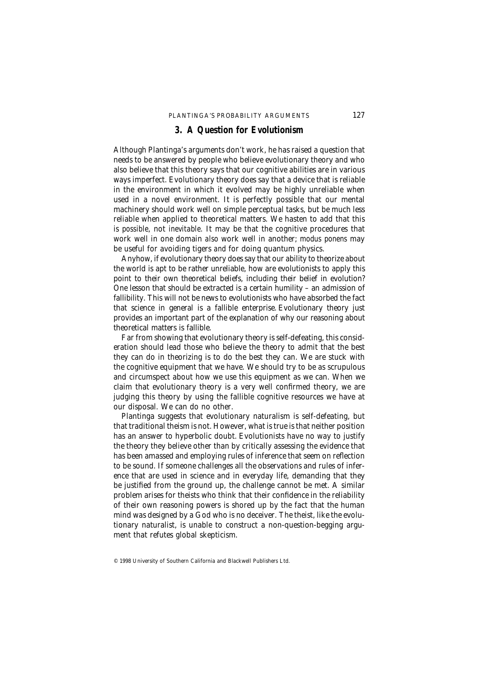# *3. A Question for Evolutionism*

Although Plantinga's arguments don't work, he has raised a question that needs to be answered by people who believe evolutionary theory and who also believe that this theory says that our cognitive abilities are in various ways imperfect. Evolutionary theory does say that a device that is reliable in the environment in which it evolved may be highly unreliable when used in a novel environment. It is perfectly possible that our mental machinery should work well on simple perceptual tasks, but be much less reliable when applied to theoretical matters. We hasten to add that this is *possible*, not *inevitable*. It may be that the cognitive procedures that work well in one domain *also* work well in another; *modus ponens* may be useful for avoiding tigers *and* for doing quantum physics.

Anyhow, if evolutionary theory does say that our ability to theorize about the world is apt to be rather unreliable, how are evolutionists to apply this point to their own theoretical beliefs, including their belief in evolution? One lesson that should be extracted is a certain humility – an admission of fallibility. This will not be news to evolutionists who have absorbed the fact that science in general is a fallible enterprise. Evolutionary theory just provides an important part of the explanation of why our reasoning about theoretical matters is fallible.

Far from showing that evolutionary theory is self-defeating, this consideration should lead those who believe the theory to admit that the best they can do in theorizing is to do the best they can. We are stuck with the cognitive equipment that we have. We should try to be as scrupulous and circumspect about how we use this equipment as we can. When we claim that evolutionary theory is a very well confirmed theory, we are judging this theory by using the fallible cognitive resources we have at our disposal. We can do no other.

Plantinga suggests that evolutionary naturalism is self-defeating, but that traditional theism is not. However, what is true is that neither position has an answer to hyperbolic doubt. Evolutionists have no way to justify the theory they believe other than by critically assessing the evidence that has been amassed and employing rules of inference that seem on reflection to be sound. If someone challenges all the observations and rules of inference that are used in science and in everyday life, demanding that they be justified from the ground up, the challenge cannot be met. A similar problem arises for theists who think that their confidence in the reliability of their own reasoning powers is shored up by the fact that the human mind was designed by a God who is no deceiver. The theist, like the evolutionary naturalist, is unable to construct a non-question-begging argument that refutes global skepticism.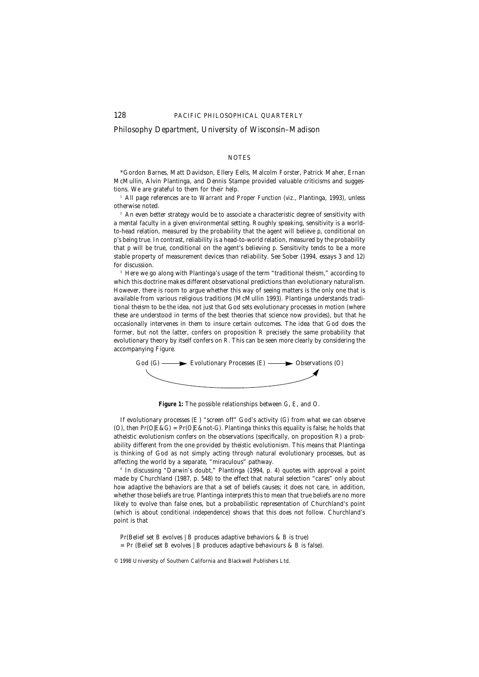#### Philosophy Department, University of Wisconsin–Madison

#### **NOTES**

\*Gordon Barnes, Matt Davidson, Ellery Eells, Malcolm Forster, Patrick Maher, Ernan McMullin, Alvin Plantinga, and Dennis Stampe provided valuable criticisms and suggestions. We are grateful to them for their help.

<sup>1</sup> All page references are to *Warrant and Proper Function* (*viz.*, Plantinga, 1993), unless otherwise noted.

 $2\mu$  An even better strategy would be to associate a characteristic degree of sensitivity with a mental faculty in a given environmental setting. Roughly speaking, sensitivity is a worldto-head relation, measured by the probability that the agent will believe *p*, conditional on *p*'s being true. In contrast, reliability is a head-to-world relation, measured by the probability that *p* will be true, conditional on the agent's believing *p*. Sensitivity tends to be a more stable property of measurement devices than reliability. See Sober (1994, essays 3 and 12) for discussion.

<sup>3</sup> Here we go along with Plantinga's usage of the term "traditional theism," according to which this doctrine makes different observational predictions than evolutionary naturalism. However, there is room to argue whether this way of seeing matters is the only one that is available from various religious traditions (McMullin 1993). Plantinga understands traditional theism to be the idea, not just that God sets evolutionary processes in motion (where these are understood in terms of the best theories that science now provides), but that he occasionally intervenes in them to insure certain outcomes. The idea that God does the former, but not the latter, confers on proposition *R* precisely the same probability that evolutionary theory by itself confers on *R*. This can be seen more clearly by considering the accompanying Figure.



**Figure 1:** The possible relationships between *G*, *E*, and *O*.

If evolutionary processes (E) "screen off" God's activity (G) from what we can observe  $(O)$ , then  $Pr(OE& G) = Pr(OE&not-G)$ . Plantinga thinks this equality is false; he holds that atheistic evolutionism confers on the observations (specifically, on proposition *R*) a probability different from the one provided by theistic evolutionism. This means that Plantinga is thinking of God as not simply acting *through* natural evolutionary processes, but as affecting the world by a separate, "miraculous" pathway.

<sup>4</sup> In discussing "Darwin's doubt," Plantinga (1994, p. 4) quotes with approval a point made by Churchland (1987, p. 548) to the effect that natural selection "cares" only about how adaptive the behaviors are that a set of beliefs causes; it does not care, in addition, whether those beliefs are true. Plantinga interprets this to mean that true beliefs are no more likely to evolve than false ones, but a probabilistic representation of Churchland's point (which is about *conditional independence*) shows that this does not follow. Churchland's point is that

Pr(Belief set *B* evolves | *B* produces adaptive behaviors & *B* is true)

 $=$  Pr (Belief set *B* evolves | *B* produces adaptive behaviours & *B* is false).

© 1998 University of Southern California and Blackwell Publishers Ltd.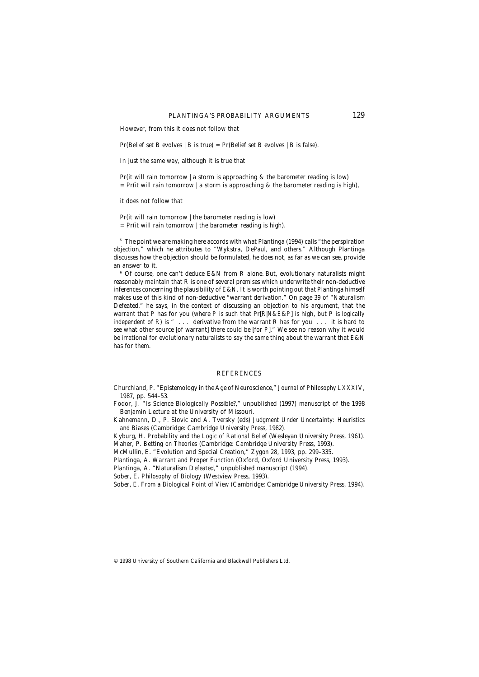However, from this it does not follow that

Pr(Belief set *B* evolves  $|B|$  is true) = Pr(Belief set *B* evolves  $|B|$  is false).

In just the same way, although it is true that

Pr(it will rain tomorrow  $\vert$  a storm is approaching & the barometer reading is low)  $= Pr(it will rain tomorrow | a storm is approaching & the barometer reading is high),$ 

it does not follow that

Pr(it will rain tomorrow | the barometer reading is low)

 $= Pr(it will rain tomorrow | the barometer reading is high).$ 

<sup>5</sup> The point we are making here accords with what Plantinga (1994) calls "the perspiration objection," which he attributes to "Wykstra, DePaul, and others." Although Plantinga discusses how the objection should be formulated, he does not, as far as we can see, provide an answer to it.

<sup>6</sup> Of course, one can't deduce *E*&*N* from *R* alone. But, evolutionary naturalists might reasonably maintain that *R* is one of several premises which underwrite their non-deductive inferences concerning the plausibility of *E*&*N*. It is worth pointing out that Plantinga himself makes use of this kind of non-deductive "warrant derivation." On page 39 of "Naturalism Defeated," he says, in the context of discussing an objection to his argument, that the warrant that *P* has for you (where *P* is such that Pr[*R*|*N*&*E*&*P*] is high, but *P* is *logically independent* of *R*) is " . . . derivative from the warrant *R* has for you ... it is hard to see what other source [of warrant] there could be [for *P*]." We see no reason why it would be irrational for evolutionary naturalists to say the same thing about the warrant that *E*&*N* has for them.

## **REFERENCES**

Churchland, P. "Epistemology in the Age of Neuroscience," *Journal of Philosophy LXXXIV*, 1987, pp. 544–53.

Fodor, J. "Is Science Biologically Possible?," unpublished (1997) manuscript of the 1998 Benjamin Lecture at the University of Missouri.

Kahnemann, D., P. Slovic and A. Tversky (eds) *Judgment Under Uncertainty: Heuristics and Biases* (Cambridge: Cambridge University Press, 1982).

Kyburg, H. *Probability and the Logic of Rational Belief* (Wesleyan University Press, 1961).

Maher, P. *Betting on Theories* (Cambridge: Cambridge University Press, 1993).

McMullin, E. "Evolution and Special Creation," *Zygon 28*, 1993, pp. 299–335.

Plantinga, A. *Warrant and Proper Function* (Oxford, Oxford University Press, 1993).

Plantinga, A. "Naturalism Defeated," unpublished manuscript (1994).

Sober, E. *Philosophy of Biology* (Westview Press, 1993).

Sober, E. *From a Biological Point of View* (Cambridge: Cambridge University Press, 1994).